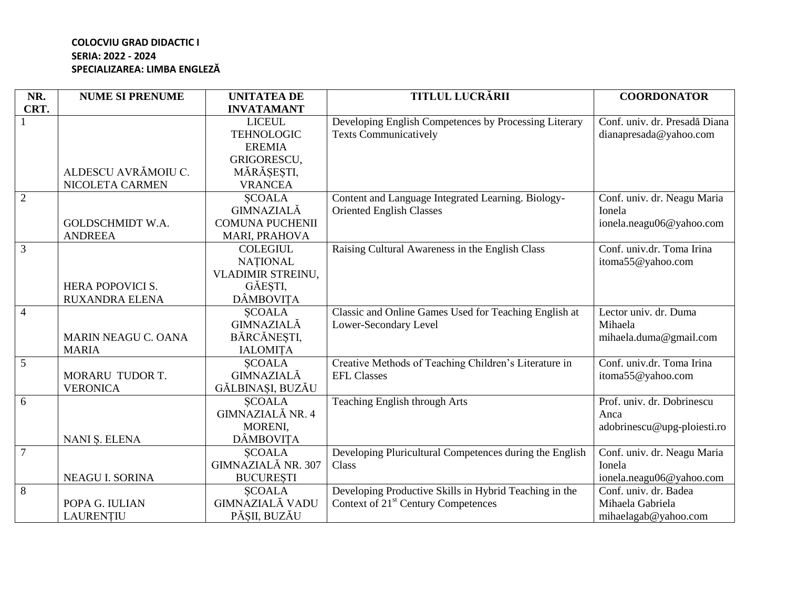## **COLOCVIU GRAD DIDACTIC I SERIA: 2022 - 2024 SPECIALIZAREA: LIMBA ENGLEZĂ**

| NR.            | <b>NUME SI PRENUME</b>  | <b>UNITATEA DE</b>       | <b>TITLUL LUCRĂRII</b>                                  | <b>COORDONATOR</b>            |
|----------------|-------------------------|--------------------------|---------------------------------------------------------|-------------------------------|
| CRT.           |                         | <b>INVATAMANT</b>        |                                                         |                               |
|                |                         | <b>LICEUL</b>            | Developing English Competences by Processing Literary   | Conf. univ. dr. Presadă Diana |
|                |                         | <b>TEHNOLOGIC</b>        | <b>Texts Communicatively</b>                            | dianapresada@yahoo.com        |
|                |                         | <b>EREMIA</b>            |                                                         |                               |
|                |                         | GRIGORESCU,              |                                                         |                               |
|                | ALDESCU AVRĂMOIU C.     | MĂRĂȘEȘTI,               |                                                         |                               |
|                | NICOLETA CARMEN         | <b>VRANCEA</b>           |                                                         |                               |
| $\overline{2}$ |                         | <b>SCOALA</b>            | Content and Language Integrated Learning. Biology-      | Conf. univ. dr. Neagu Maria   |
|                |                         | <b>GIMNAZIALĂ</b>        | <b>Oriented English Classes</b>                         | Ionela                        |
|                | <b>GOLDSCHMIDT W.A.</b> | <b>COMUNA PUCHENII</b>   |                                                         | ionela.neagu06@yahoo.com      |
|                | <b>ANDREEA</b>          | MARI, PRAHOVA            |                                                         |                               |
| $\overline{3}$ |                         | <b>COLEGIUL</b>          | Raising Cultural Awareness in the English Class         | Conf. univ.dr. Toma Irina     |
|                |                         | <b>NATIONAL</b>          |                                                         | itoma55@yahoo.com             |
|                |                         | <b>VLADIMIR STREINU,</b> |                                                         |                               |
|                | <b>HERA POPOVICI S.</b> | GĂEȘTI,                  |                                                         |                               |
|                | <b>RUXANDRA ELENA</b>   | <b>DÂMBOVITA</b>         |                                                         |                               |
| $\overline{4}$ |                         | <b>SCOALA</b>            | Classic and Online Games Used for Teaching English at   | Lector univ. dr. Duma         |
|                |                         | <b>GIMNAZIALĂ</b>        | Lower-Secondary Level                                   | Mihaela                       |
|                | MARIN NEAGU C. OANA     | BĂRCĂNEȘTI,              |                                                         | mihaela.duma@gmail.com        |
|                | <b>MARIA</b>            | <b>IALOMITA</b>          |                                                         |                               |
| $\overline{5}$ |                         | <b>SCOALA</b>            | Creative Methods of Teaching Children's Literature in   | Conf. univ.dr. Toma Irina     |
|                | MORARU TUDOR T.         | <b>GIMNAZIALĂ</b>        | <b>EFL Classes</b>                                      | itoma55@yahoo.com             |
|                | <b>VERONICA</b>         | GĂLBINAȘI, BUZĂU         |                                                         |                               |
| $\overline{6}$ |                         | <b>SCOALA</b>            | <b>Teaching English through Arts</b>                    | Prof. univ. dr. Dobrinescu    |
|                |                         | GIMNAZIALĂ NR. 4         |                                                         | Anca                          |
|                |                         | MORENI,                  |                                                         | adobrinescu@upg-ploiesti.ro   |
|                | NANI Ș. ELENA           | <b>DÂMBOVITA</b>         |                                                         |                               |
| $\overline{7}$ |                         | <b>SCOALA</b>            | Developing Pluricultural Competences during the English | Conf. univ. dr. Neagu Maria   |
|                |                         | GIMNAZIALĂ NR. 307       | Class                                                   | Ionela                        |
|                | NEAGU I. SORINA         | <b>BUCUREȘTI</b>         |                                                         | ionela.neagu06@yahoo.com      |
| $\overline{8}$ |                         | <b>SCOALA</b>            | Developing Productive Skills in Hybrid Teaching in the  | Conf. univ. dr. Badea         |
|                | POPA G. IULIAN          | GIMNAZIALĂ VADU          | Context of 21 <sup>st</sup> Century Competences         | Mihaela Gabriela              |
|                | LAURENȚIU               | PĂȘII, BUZĂU             |                                                         | mihaelagab@yahoo.com          |